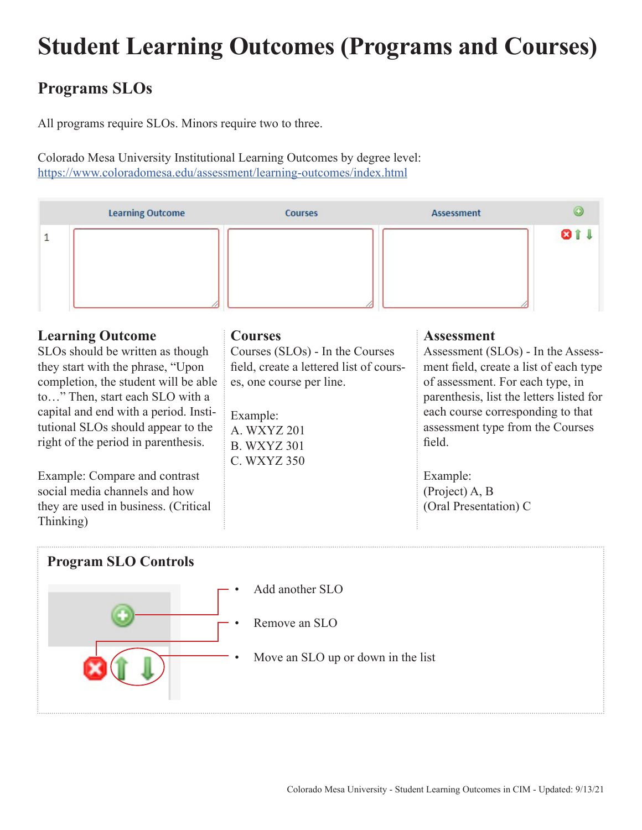## **Student Learning Outcomes (Programs and Courses)**

## **Programs SLOs**

All programs require SLOs. Minors require two to three.

Colorado Mesa University Institutional Learning Outcomes by degree level: https://www.coloradomesa.edu/assessment/learning-outcomes/index.html



SLOs should be written as though they start with the phrase, "Upon completion, the student will be able to…" Then, start each SLO with a capital and end with a period. Institutional SLOs should appear to the right of the period in parenthesis.

Example: Compare and contrast social media channels and how they are used in business. (Critical Thinking)

Courses (SLOs) - In the Courses field, create a lettered list of courses, one course per line.

Example: A. WXYZ 201 B. WXYZ 301 C. WXYZ 350 Assessment (SLOs) - In the Assessment field, create a list of each type of assessment. For each type, in parenthesis, list the letters listed for each course corresponding to that assessment type from the Courses field.

Example: (Project) A, B (Oral Presentation) C